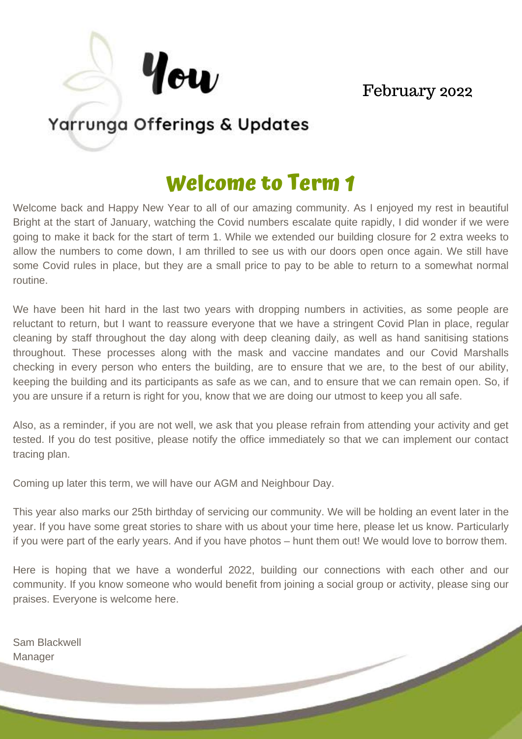# February 2022

# Yarrunga Offerings & Updates

How

# **Welcome to Term 1**

Welcome back and Happy New Year to all of our amazing community. As I enjoyed my rest in beautiful Bright at the start of January, watching the Covid numbers escalate quite rapidly, I did wonder if we were going to make it back for the start of term 1. While we extended our building closure for 2 extra weeks to allow the numbers to come down, I am thrilled to see us with our doors open once again. We still have some Covid rules in place, but they are a small price to pay to be able to return to a somewhat normal routine.

We have been hit hard in the last two years with dropping numbers in activities, as some people are reluctant to return, but I want to reassure everyone that we have a stringent Covid Plan in place, regular cleaning by staff throughout the day along with deep cleaning daily, as well as hand sanitising stations throughout. These processes along with the mask and vaccine mandates and our Covid Marshalls checking in every person who enters the building, are to ensure that we are, to the best of our ability, keeping the building and its participants as safe as we can, and to ensure that we can remain open. So, if you are unsure if a return is right for you, know that we are doing our utmost to keep you all safe.

Also, as a reminder, if you are not well, we ask that you please refrain from attending your activity and get tested. If you do test positive, please notify the office immediately so that we can implement our contact tracing plan.

Coming up later this term, we will have our AGM and Neighbour Day.

This year also marks our 25th birthday of servicing our community. We will be holding an event later in the year. If you have some great stories to share with us about your time here, please let us know. Particularly if you were part of the early years. And if you have photos – hunt them out! We would love to borrow them.

Here is hoping that we have a wonderful 2022, building our connections with each other and our community. If you know someone who would benefit from joining a social group or activity, please sing our praises. Everyone is welcome here.

Sam Blackwell Manager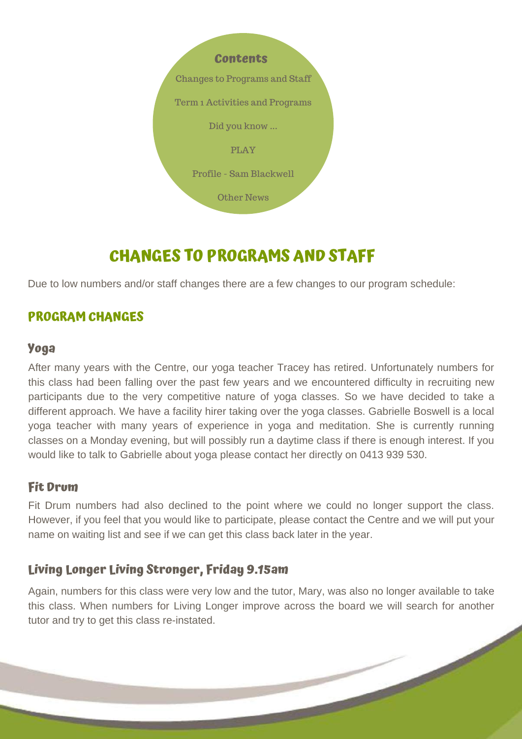

# **CHANGES TO PROGRAMS AND STAFF**

Due to low numbers and/or staff changes there are a few changes to our program schedule:

# **PROGRAM CHANGES**

#### **Yoga**

After many years with the Centre, our yoga teacher Tracey has retired. Unfortunately numbers for this class had been falling over the past few years and we encountered difficulty in recruiting new participants due to the very competitive nature of yoga classes. So we have decided to take a different approach. We have a facility hirer taking over the yoga classes. Gabrielle Boswell is a local yoga teacher with many years of experience in yoga and meditation. She is currently running classes on a Monday evening, but will possibly run a daytime class if there is enough interest. If you would like to talk to Gabrielle about yoga please contact her directly on 0413 939 530.

## **Fit Drum**

Fit Drum numbers had also declined to the point where we could no longer support the class. However, if you feel that you would like to participate, please contact the Centre and we will put your name on waiting list and see if we can get this class back later in the year.

# **Living Longer Living Stronger, Friday 9.15am**

Again, numbers for this class were very low and the tutor, Mary, was also no longer available to take this class. When numbers for Living Longer improve across the board we will search for another tutor and try to get this class re-instated.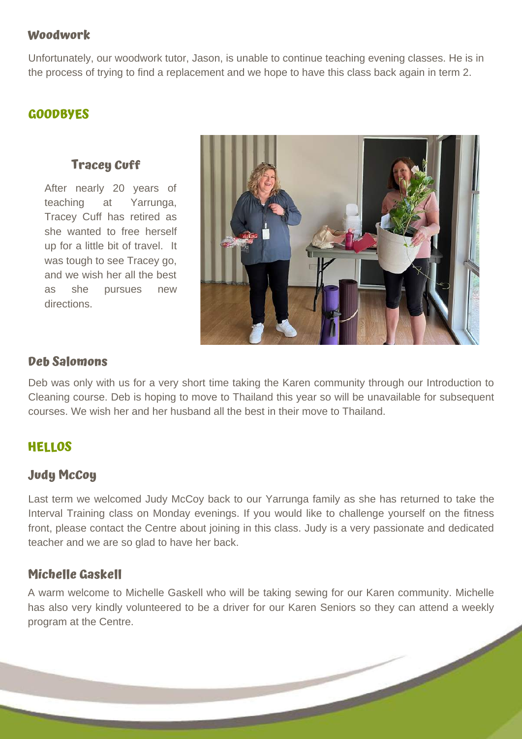## **Woodwork**

Unfortunately, our woodwork tutor, Jason, is unable to continue teaching evening classes. He is in the process of trying to find a replacement and we hope to have this class back again in term 2.

## **GOODBYES**

# **Tracey Cuff**

After nearly 20 years of teaching at Yarrunga, Tracey Cuff has retired as she wanted to free herself up for a little bit of travel. It was tough to see Tracey go, and we wish her all the best as she pursues new directions.



## **Deb Salomons**

Deb was only with us for a very short time taking the Karen community through our Introduction to Cleaning course. Deb is hoping to move to Thailand this year so will be unavailable for subsequent courses. We wish her and her husband all the best in their move to Thailand.

# **HELLOS**

## **Judy McCoy**

Last term we welcomed Judy McCoy back to our Yarrunga family as she has returned to take the Interval Training class on Monday evenings. If you would like to challenge yourself on the fitness front, please contact the Centre about joining in this class. Judy is a very passionate and dedicated teacher and we are so glad to have her back.

# **Michelle Gaskell**

A warm welcome to Michelle Gaskell who will be taking sewing for our Karen community. Michelle has also very kindly volunteered to be a driver for our Karen Seniors so they can attend a weekly program at the Centre.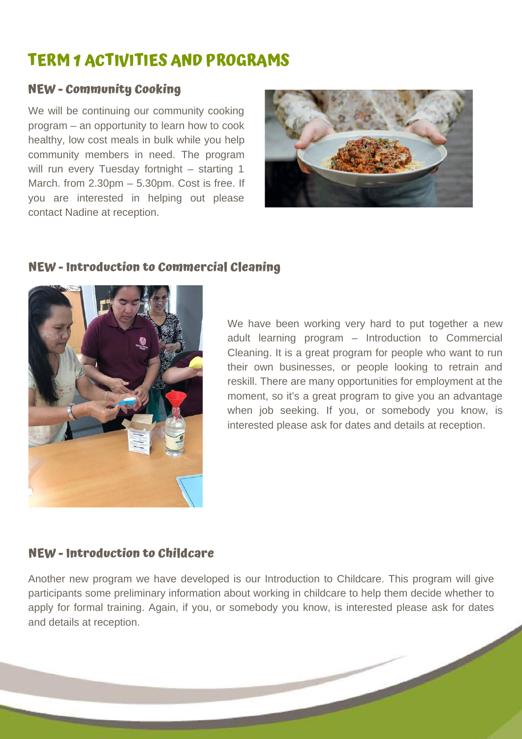# **TERM 1 ACTIVITIES AND PROGRAMS**

# **NEW - Community Cooking**

We will be continuing our community cooking program – an opportunity to learn how to cook healthy, low cost meals in bulk while you help community members in need. The program will run every Tuesday fortnight - starting 1 March. from 2.30pm – 5.30pm. Cost is free. If you are interested in helping out please contact Nadine at reception.



## **NEW - Introduction to Commercial Cleaning**



We have been working very hard to put together a new adult learning program – Introduction to Commercial Cleaning. It is a great program for people who want to run their own businesses, or people looking to retrain and reskill. There are many opportunities for employment at the moment, so it's a great program to give you an advantage when job seeking. If you, or somebody you know, is interested please ask for dates and details at reception.

# **NEW - Introduction to Childcare**

Another new program we have developed is our Introduction to Childcare. This program will give participants some preliminary information about working in childcare to help them decide whether to apply for formal training. Again, if you, or somebody you know, is interested please ask for dates and details at reception.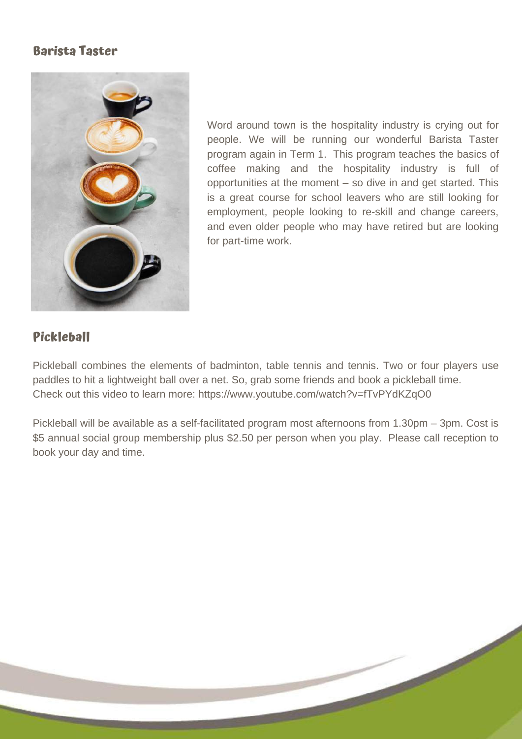# **Barista Taster**



Word around town is the hospitality industry is crying out for people. We will be running our wonderful Barista Taster program again in Term 1. This program teaches the basics of coffee making and the hospitality industry is full of opportunities at the moment – so dive in and get started. This is a great course for school leavers who are still looking for employment, people looking to re-skill and change careers, and even older people who may have retired but are looking for part-time work.

# **Pickleball**

Pickleball combines the elements of badminton, table tennis and tennis. Two or four players use paddles to hit a lightweight ball over a net. So, grab some friends and book a pickleball time. Check out this video to learn more: <https://www.youtube.com/watch?v=fTvPYdKZqO0>

Pickleball will be available as a self-facilitated program most afternoons from 1.30pm – 3pm. Cost is \$5 annual social group membership plus \$2.50 per person when you play. Please call reception to book your day and time.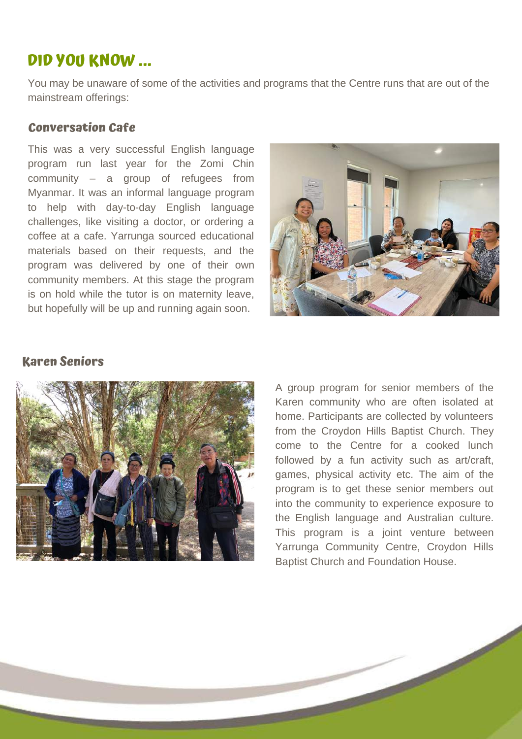# **DID YOU KNOW ...**

You may be unaware of some of the activities and programs that the Centre runs that are out of the mainstream offerings:

#### **Conversation Cafe**

This was a very successful English language program run last year for the Zomi Chin community – a group of refugees from Myanmar. It was an informal language program to help with day-to-day English language challenges, like visiting a doctor, or ordering a coffee at a cafe. Yarrunga sourced educational materials based on their requests, and the program was delivered by one of their own community members. At this stage the program is on hold while the tutor is on maternity leave, but hopefully will be up and running again soon.



## **Karen Seniors**



A group program for senior members of the Karen community who are often isolated at home. Participants are collected by volunteers from the Croydon Hills Baptist Church. They come to the Centre for a cooked lunch followed by a fun activity such as art/craft, games, physical activity etc. The aim of the program is to get these senior members out into the community to experience exposure to the English language and Australian culture. This program is a joint venture between Yarrunga Community Centre, Croydon Hills Baptist Church and Foundation House.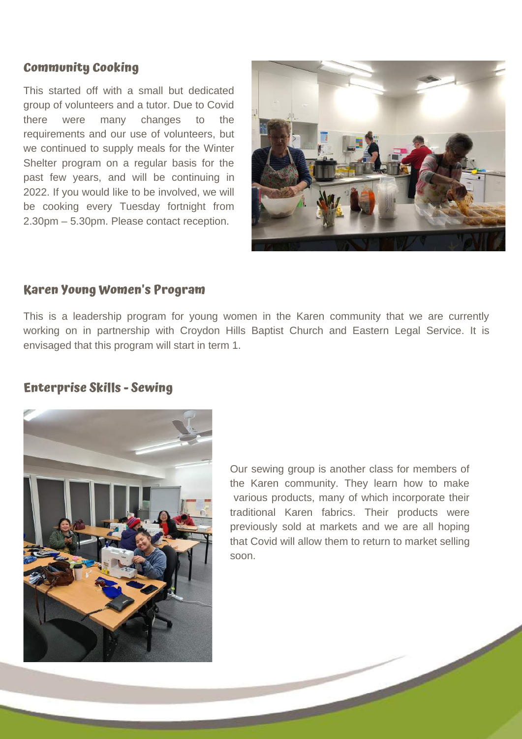## **Community Cooking**

This started off with a small but dedicated group of volunteers and a tutor. Due to Covid there were many changes to the requirements and our use of volunteers, but we continued to supply meals for the Winter Shelter program on a regular basis for the past few years, and will be continuing in 2022. If you would like to be involved, we will be cooking every Tuesday fortnight from 2.30pm – 5.30pm. Please contact reception.



#### **Karen Young Women's Program**

This is a leadership program for young women in the Karen community that we are currently working on in partnership with Croydon Hills Baptist Church and Eastern Legal Service. It is envisaged that this program will start in term 1.

## **Enterprise Skills - Sewing**



Our sewing group is another class for members of the Karen community. They learn how to make various products, many of which incorporate their traditional Karen fabrics. Their products were previously sold at markets and we are all hoping that Covid will allow them to return to market selling soon.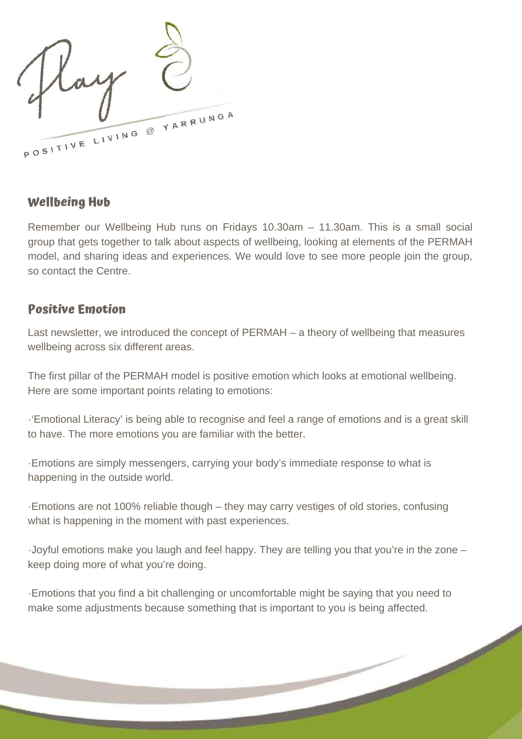POSITIVE LIVING @ YARRUNGA

# **Wellbeing Hub**

Remember our Wellbeing Hub runs on Fridays 10.30am – 11.30am. This is a small social group that gets together to talk about aspects of wellbeing, looking at elements of the PERMAH model, and sharing ideas and experiences. We would love to see more people join the group, so contact the Centre.

# **Positive Emotion**

Last newsletter, we introduced the concept of PERMAH – a theory of wellbeing that measures wellbeing across six different areas.

The first pillar of the PERMAH model is positive emotion which looks at emotional wellbeing. Here are some important points relating to emotions:

·'Emotional Literacy' is being able to recognise and feel a range of emotions and is a great skill to have. The more emotions you are familiar with the better.

·Emotions are simply messengers, carrying your body's immediate response to what is happening in the outside world.

·Emotions are not 100% reliable though – they may carry vestiges of old stories, confusing what is happening in the moment with past experiences.

·Joyful emotions make you laugh and feel happy. They are telling you that you're in the zone – keep doing more of what you're doing.

·Emotions that you find a bit challenging or uncomfortable might be saying that you need to make some adjustments because something that is important to you is being affected.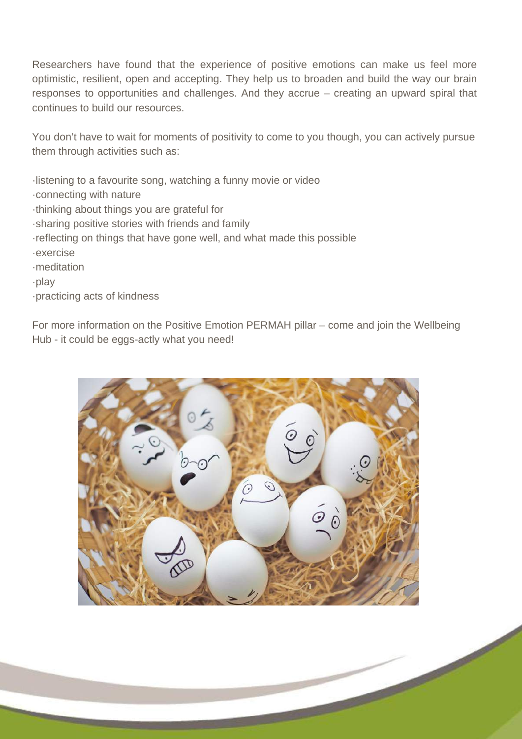Researchers have found that the experience of positive emotions can make us feel more optimistic, resilient, open and accepting. They help us to broaden and build the way our brain responses to opportunities and challenges. And they accrue – creating an upward spiral that continues to build our resources.

You don't have to wait for moments of positivity to come to you though, you can actively pursue them through activities such as:

·listening to a favourite song, watching a funny movie or video

- ·connecting with nature
- ·thinking about things you are grateful for
- ·sharing positive stories with friends and family
- ·reflecting on things that have gone well, and what made this possible
- ·exercise
- ·meditation
- ·play
- ·practicing acts of kindness

For more information on the Positive Emotion PERMAH pillar – come and join the Wellbeing Hub - it could be eggs-actly what you need!

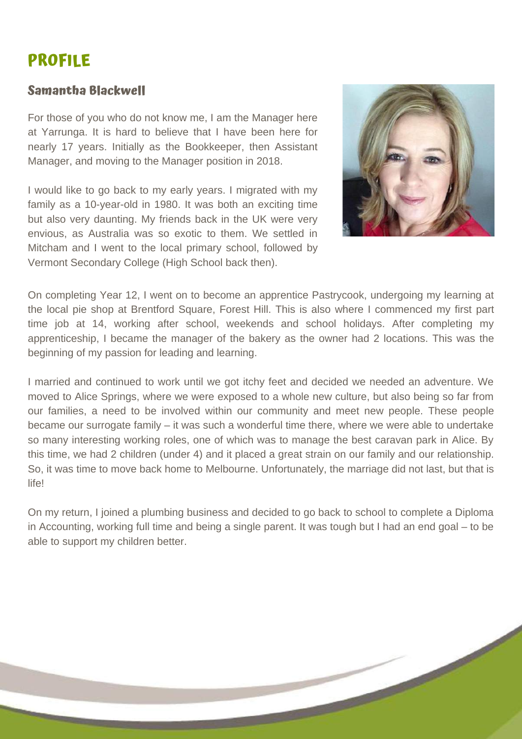# **PROFILE**

# **Samantha Blackwell**

For those of you who do not know me, I am the Manager here at Yarrunga. It is hard to believe that I have been here for nearly 17 years. Initially as the Bookkeeper, then Assistant Manager, and moving to the Manager position in 2018.

I would like to go back to my early years. I migrated with my family as a 10-year-old in 1980. It was both an exciting time but also very daunting. My friends back in the UK were very envious, as Australia was so exotic to them. We settled in Mitcham and I went to the local primary school, followed by Vermont Secondary College (High School back then).



On completing Year 12, I went on to become an apprentice Pastrycook, undergoing my learning at the local pie shop at Brentford Square, Forest Hill. This is also where I commenced my first part time job at 14, working after school, weekends and school holidays. After completing my apprenticeship, I became the manager of the bakery as the owner had 2 locations. This was the beginning of my passion for leading and learning.

I married and continued to work until we got itchy feet and decided we needed an adventure. We moved to Alice Springs, where we were exposed to a whole new culture, but also being so far from our families, a need to be involved within our community and meet new people. These people became our surrogate family – it was such a wonderful time there, where we were able to undertake so many interesting working roles, one of which was to manage the best caravan park in Alice. By this time, we had 2 children (under 4) and it placed a great strain on our family and our relationship. So, it was time to move back home to Melbourne. Unfortunately, the marriage did not last, but that is life!

On my return, I joined a plumbing business and decided to go back to school to complete a Diploma in Accounting, working full time and being a single parent. It was tough but I had an end goal – to be able to support my children better.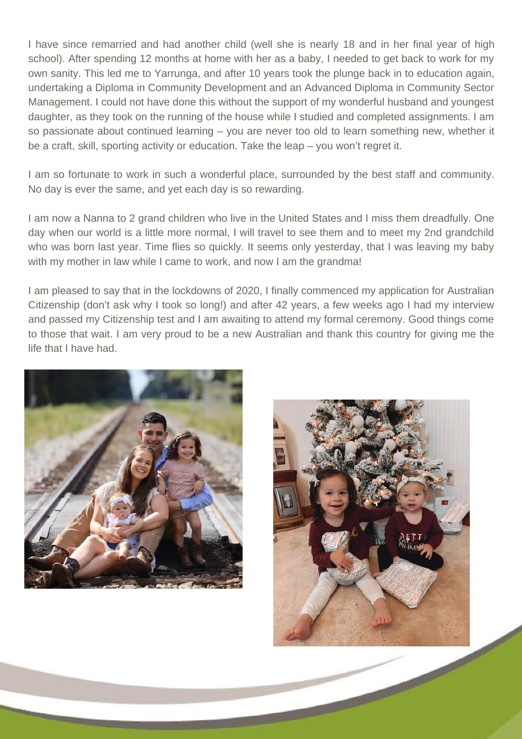I have since remarried and had another child (well she is nearly 18 and in her final year of high school). After spending 12 months at home with her as a baby, I needed to get back to work for my own sanity. This led me to Yarrunga, and after 10 years took the plunge back in to education again, undertaking a Diploma in Community Development and an Advanced Diploma in Community Sector Management. I could not have done this without the support of my wonderful husband and youngest daughter, as they took on the running of the house while I studied and completed assignments. I am so passionate about continued learning – you are never too old to learn something new, whether it be a craft, skill, sporting activity or education. Take the leap – you won't regret it.

I am so fortunate to work in such a wonderful place, surrounded by the best staff and community. No day is ever the same, and yet each day is so rewarding.

I am now a Nanna to 2 grand children who live in the United States and I miss them dreadfully. One day when our world is a little more normal, I will travel to see them and to meet my 2nd grandchild who was born last year. Time flies so quickly. It seems only yesterday, that I was leaving my baby with my mother in law while I came to work, and now I am the grandma!

I am pleased to say that in the lockdowns of 2020, I finally commenced my application for Australian Citizenship (don't ask why I took so long!) and after 42 years, a few weeks ago I had my interview and passed my Citizenship test and I am awaiting to attend my formal ceremony. Good things come to those that wait. I am very proud to be a new Australian and thank this country for giving me the life that I have had.



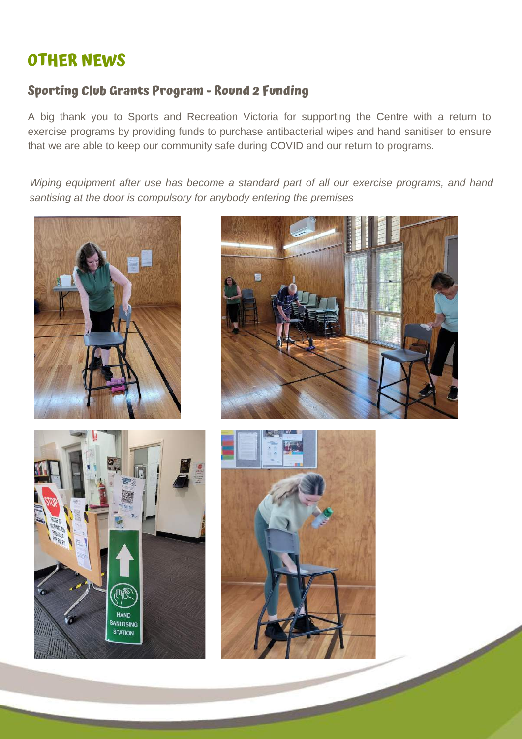# **OTHER NEWS**

# **Sporting Club Grants Program - Round 2 Funding**

A big thank you to Sports and Recreation Victoria for supporting the Centre with a return to exercise programs by providing funds to purchase antibacterial wipes and hand sanitiser to ensure that we are able to keep our community safe during COVID and our return to programs.

*Wiping equipment after use has become a standard part of all our exercise programs, and hand santising at the door is compulsory for anybody entering the premises*